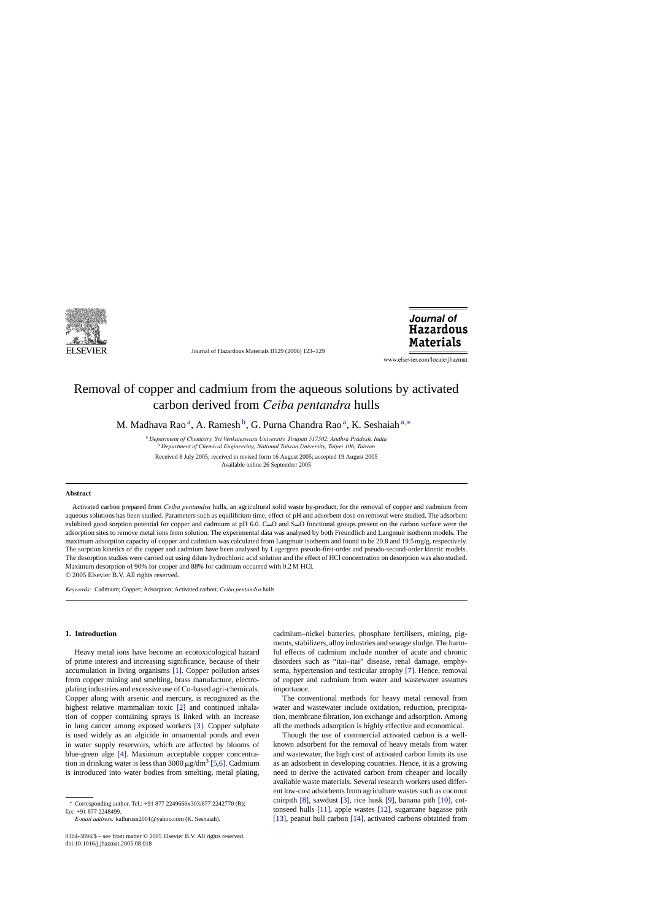

Journal of Hazardous Materials B129 (2006) 123–129

Journal of **Hazardous Materials** 

www.elsevier.com/locate/jhazmat

# Removal of copper and cadmium from the aqueous solutions by activated carbon derived from *Ceiba pentandra* hulls

M. Madhava Rao<sup>a</sup>, A. Ramesh<sup>b</sup>, G. Purna Chandra Rao<sup>a</sup>, K. Seshaiah<sup>a,\*</sup>

<sup>a</sup> *Department of Chemistry, Sri Venkateswara University, Tirupati 517502, Andhra Pradesh, India* <sup>b</sup> *Department of Chemical Engineering, National Taiwan University, Taipei 106, Taiwan*

Received 8 July 2005; received in revised form 16 August 2005; accepted 19 August 2005 Available online 26 September 2005

## **Abstract**

Activated carbon prepared from *Ceiba pentandra* hulls, an agricultural solid waste by-product, for the removal of copper and cadmium from aqueous solutions has been studied. Parameters such as equilibrium time, effect of pH and adsorbent dose on removal were studied. The adsorbent exhibited good sorption potential for copper and cadmium at pH 6.0. C=O and S=O functional groups present on the carbon surface were the adsorption sites to remove metal ions from solution. The experimental data was analysed by both Freundlich and Langmuir isotherm models. The maximum adsorption capacity of copper and cadmium was calculated from Langmuir isotherm and found to be 20.8 and 19.5 mg/g, respectively. The sorption kinetics of the copper and cadmium have been analysed by Lagergren pseudo-first-order and pseudo-second-order kinetic models. The desorption studies were carried out using dilute hydrochloric acid solution and the effect of HCl concentration on desorption was also studied. Maximum desorption of 90% for copper and 88% for cadmium occurred with 0.2 M HCl.

© 2005 Elsevier B.V. All rights reserved.

*Keywords:* Cadmium; Copper; Adsorption; Activated carbon; *Ceiba pentandra* hulls

## **1. Introduction**

Heavy metal ions have become an ecotoxicological hazard of prime interest and increasing significance, because of their accumulation in living organisms [\[1\].](#page-5-0) Copper pollution arises from copper mining and smelting, brass manufacture, electroplating industries and excessive use of Cu-based agri-chemicals. Copper along with arsenic and mercury, is recognized as the highest relative mammalian toxic [\[2\]](#page-6-0) and continued inhalation of copper containing sprays is linked with an increase in lung cancer among exposed workers [\[3\].](#page-6-0) Copper sulphate is used widely as an algicide in ornamental ponds and even in water supply reservoirs, which are affected by blooms of blue-green alge [\[4\].](#page-6-0) Maximum acceptable copper concentration in drinking water is less than 3000  $\mu$ g/dm<sup>3</sup> [\[5,6\]. C](#page-6-0)admium is introduced into water bodies from smelting, metal plating,

cadmium–nickel batteries, phosphate fertilisers, mining, pigments, stabilizers, alloy industries and sewage sludge. The harmful effects of cadmium include number of acute and chronic disorders such as "itai–itai" disease, renal damage, emphysema, hypertension and testicular atrophy [\[7\].](#page-6-0) Hence, removal of copper and cadmium from water and wastewater assumes importance.

The conventional methods for heavy metal removal from water and wastewater include oxidation, reduction, precipitation, membrane filtration, ion exchange and adsorption. Among all the methods adsorption is highly effective and economical.

Though the use of commercial activated carbon is a wellknown adsorbent for the removal of heavy metals from water and wastewater, the high cost of activated carbon limits its use as an adsorbent in developing countries. Hence, it is a growing need to derive the activated carbon from cheaper and locally available waste materials. Several research workers used different low-cost adsorbents from agriculture wastes such as coconut coirpith [\[8\],](#page-6-0) sawdust [\[3\],](#page-6-0) rice husk [\[9\],](#page-6-0) banana pith [\[10\],](#page-6-0) cottonseed hulls [\[11\],](#page-6-0) apple wastes [\[12\],](#page-6-0) sugarcane bagasse pith [\[13\],](#page-6-0) peanut hull carbon [\[14\],](#page-6-0) activated carbons obtained from

<sup>∗</sup> Corresponding author. Tel.: +91 877 2249666x303/877 2242770 (R); fax: +91 877 2248499.

*E-mail address:* kallurusn2001@yahoo.com (K. Seshaiah).

<sup>0304-3894/\$ –</sup> see front matter © 2005 Elsevier B.V. All rights reserved. doi:10.1016/j.jhazmat.2005.08.018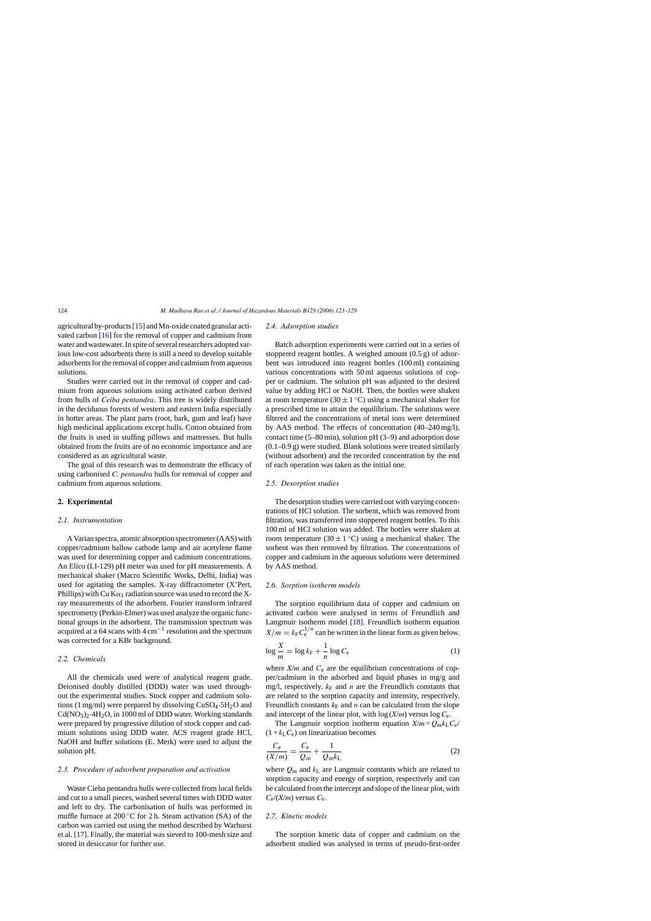agricultural by-products[\[15\]](#page-6-0) and Mn-oxide coated granular activated carbon [\[16\]](#page-6-0) for the removal of copper and cadmium from water and wastewater. In spite of several researchers adopted various low-cost adsorbents there is still a need to develop suitable adsorbents for the removal of copper and cadmium from aqueous solutions.

Studies were carried out in the removal of copper and cadmium from aqueous solutions using activated carbon derived from hulls of *Ceiba pentandra*. This tree is widely distributed in the deciduous forests of western and eastern India especially in hotter areas. The plant parts (root, bark, gum and leaf) have high medicinal applications except hulls. Cotton obtained from the fruits is used in stuffing pillows and mattresses. But hulls obtained from the fruits are of no economic importance and are considered as an agricultural waste.

The goal of this research was to demonstrate the efficacy of using carbonised *C. pentandra* hulls for removal of copper and cadmium from aqueous solutions.

## **2. Experimental**

## *2.1. Instrumentation*

A Varian spectra, atomic absorption spectrometer (AAS) with copper/cadmium hallow cathode lamp and air acetylene flame was used for determining copper and cadmium concentrations. An Elico (LI-129) pH meter was used for pH measurements. A mechanical shaker (Macro Scientific Works, Delhi, India) was used for agitating the samples. X-ray diffractometer (X'Pert, Phillips) with Cu  $K\alpha_1$  radiation source was used to record the Xray measurements of the adsorbent. Fourier transform infrared spectrometry (Perkin-Elmer) was used analyze the organic functional groups in the adsorbent. The transmission spectrum was acquired at a 64 scans with  $4 \text{ cm}^{-1}$  resolution and the spectrum was corrected for a KBr background.

## *2.2. Chemicals*

All the chemicals used were of analytical reagent grade. Deionised doubly distilled (DDD) water was used throughout the experimental studies. Stock copper and cadmium solutions (1 mg/ml) were prepared by dissolving  $CuSO<sub>4</sub>·5H<sub>2</sub>O$  and  $Cd(NO<sub>3</sub>)<sub>2</sub>·4H<sub>2</sub>O$ , in 1000 ml of DDD water. Working standards were prepared by progressive dilution of stock copper and cadmium solutions using DDD water. ACS reagent grade HCl, NaOH and buffer solutions (E. Merk) were used to adjust the solution pH.

## *2.3. Procedure of adsorbent preparation and activation*

Waste Cieba pentandra hulls were collected from local fields and cut to a small pieces, washed several times with DDD water and left to dry. The carbonisation of hulls was performed in muffle furnace at 200 $\degree$ C for 2 h. Steam activation (SA) of the carbon was carried out using the method described by Warhurst et al. [\[17\].](#page-6-0) Finally, the material was sieved to 100-mesh size and stored in desiccator for further use.

#### *2.4. Adsorption studies*

Batch adsorption experiments were carried out in a series of stoppered reagent bottles. A weighed amount (0.5 g) of adsorbent was introduced into reagent bottles (100 ml) containing various concentrations with 50 ml aqueous solutions of copper or cadmium. The solution pH was adjusted to the desired value by adding HCl or NaOH. Then, the bottles were shaken at room temperature (30  $\pm$  1 °C) using a mechanical shaker for a prescribed time to attain the equilibrium. The solutions were filtered and the concentrations of metal ions were determined by AAS method. The effects of concentration (40–240 mg/l), contact time (5–80 min), solution pH (3–9) and adsorption dose (0.1–0.9 g) were studied. Blank solutions were treated similarly (without adsorbent) and the recorded concentration by the end of each operation was taken as the initial one.

#### *2.5. Desorption studies*

The desorption studies were carried out with varying concentrations of HCl solution. The sorbent, which was removed from filtration, was transferred into stoppered reagent bottles. To this 100 ml of HCl solution was added. The bottles were shaken at room temperature (30  $\pm$  1 °C) using a mechanical shaker. The sorbent was then removed by filtration. The concentrations of copper and cadmium in the aqueous solutions were determined by AAS method.

## *2.6. Sorption isotherm models*

The sorption equilibrium data of copper and cadmium on activated carbon were analysed in terms of Freundlich and Langmuir isotherm model [\[18\].](#page-6-0) Freundlich isotherm equation  $X/m = k_{\rm F} C_{\rm e}^{1/n}$  can be written in the linear form as given below.

$$
\log \frac{X}{m} = \log k_{\rm F} + \frac{1}{n} \log C_{\rm e}
$$
 (1)

where  $X/m$  and  $C_e$  are the equilibrium concentrations of copper/cadmium in the adsorbed and liquid phases in mg/g and mg/l, respectively.  $k_F$  and *n* are the Freundlich constants that are related to the sorption capacity and intensity, respectively. Freundlich constants  $k_F$  and *n* can be calculated from the slope and intercept of the linear plot, with  $log(X/m)$  versus  $log C_e$ .

The Langmuir sorption isotherm equation  $X/m = Q_m k_L C_e$  $(1 + k<sub>L</sub>C<sub>e</sub>)$  on linearization becomes

$$
\frac{C_{\rm e}}{(X/m)} = \frac{C_{\rm e}}{Q_{\rm m}} + \frac{1}{Q_{\rm m}k_{\rm L}}\tag{2}
$$

where *Q*<sup>m</sup> and *k*<sup>L</sup> are Langmuir constants which are related to sorption capacity and energy of sorption, respectively and can be calculated from the intercept and slope of the linear plot, with  $C_e/(X/m)$  versus  $C_e$ .

## *2.7. Kinetic models*

The sorption kinetic data of copper and cadmium on the adsorbent studied was analysed in terms of pseudo-first-order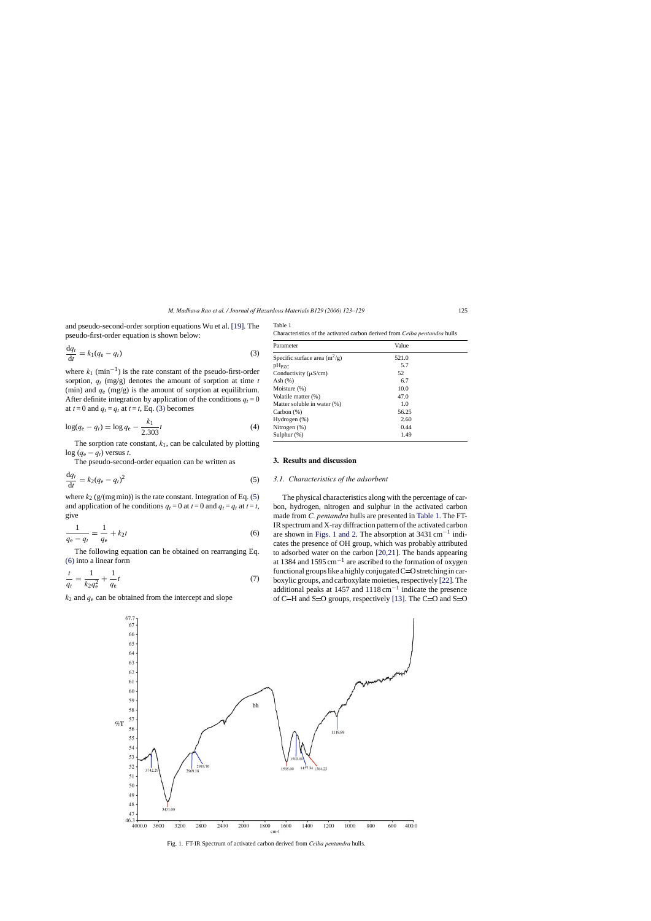and pseudo-second-order sorption equations Wu et al. [\[19\]. T](#page-6-0)he pseudo-first-order equation is shown below:

$$
\frac{\mathrm{d}q_t}{\mathrm{d}t} = k_1(q_e - q_t) \tag{3}
$$

where  $k_1$  (min<sup>-1</sup>) is the rate constant of the pseudo-first-order sorption, *qt* (mg/g) denotes the amount of sorption at time *t* (min) and *q*<sup>e</sup> (mg/g) is the amount of sorption at equilibrium. After definite integration by application of the conditions  $q_t = 0$ at  $t = 0$  and  $q_t = q_t$  at  $t = t$ , Eq. (3) becomes

$$
\log(q_{\rm e} - q_t) = \log q_{\rm e} - \frac{k_1}{2.303}t\tag{4}
$$

The sorption rate constant,  $k_1$ , can be calculated by plotting log ( $q_e − q_t$ ) versus *t*.

The pseudo-second-order equation can be written as

$$
\frac{\mathrm{d}q_t}{\mathrm{d}t} = k_2(q_e - q_t)^2 \tag{5}
$$

where  $k_2$  ( $g/(mg \text{ min})$ ) is the rate constant. Integration of Eq. (5) and application of he conditions  $q_t = 0$  at  $t = 0$  and  $q_t = q_t$  at  $t = t$ , give

$$
\frac{1}{q_e - q_t} = \frac{1}{q_e} + k_2 t \tag{6}
$$

The following equation can be obtained on rearranging Eq. (6) into a linear form

$$
\frac{t}{q_t} = \frac{1}{k_2 q_e^2} + \frac{1}{q_e} t \tag{7}
$$

 $k_2$  and  $q_e$  can be obtained from the intercept and slope

Table 1 Characteristics of the activated carbon derived from *Ceiba pentandra* hulls

| Parameter                       | Value |  |
|---------------------------------|-------|--|
| Specific surface area $(m^2/g)$ | 521.0 |  |
| $pH_{PZC}$                      | 5.7   |  |
| Conductivity $(\mu S/cm)$       | 52    |  |
| Ash $(%)$                       | 6.7   |  |
| Moisture $(\%)$                 | 10.0  |  |
| Volatile matter (%)             | 47.0  |  |
| Matter soluble in water (%)     | 1.0   |  |
| Carbon $(\%)$                   | 56.25 |  |
| Hydrogen (%)                    | 2.60  |  |
| Nitrogen $(\%)$                 | 0.44  |  |
| Sulphur $(\%)$                  | 1.49  |  |

## **3. Results and discussion**

#### *3.1. Characteristics of the adsorbent*

The physical characteristics along with the percentage of carbon, hydrogen, nitrogen and sulphur in the activated carbon made from *C. pentandra* hulls are presented in Table 1. The FT-IR spectrum and X-ray diffraction pattern of the activated carbon are shown in Figs. 1 and 2. The absorption at 3431 cm−<sup>1</sup> indicates the presence of OH group, which was probably attributed to adsorbed water on the carbon [\[20,21\].](#page-6-0) The bands appearing at 1384 and 1595 cm<sup>-1</sup> are ascribed to the formation of oxygen functional groups like a highly conjugated  $C=O$  stretching in carboxylic groups, and carboxylate moieties, respectively [\[22\]. T](#page-6-0)he additional peaks at 1457 and 1118 cm−<sup>1</sup> indicate the presence of C-H and S=O groups, respectively [\[13\]. T](#page-6-0)he C=O and S=O



Fig. 1. FT-IR Spectrum of activated carbon derived from *Ceiba pentandra* hulls.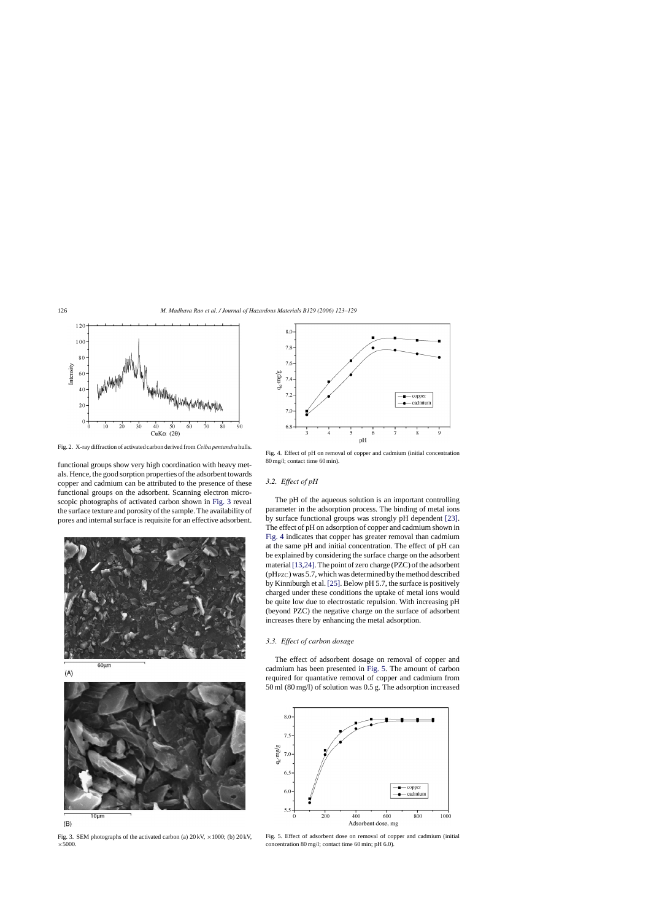

Fig. 2. X-ray diffraction of activated carbon derived from*Ceiba pentandra* hulls.

functional groups show very high coordination with heavy metals. Hence, the good sorption properties of the adsorbent towards copper and cadmium can be attributed to the presence of these functional groups on the adsorbent. Scanning electron microscopic photographs of activated carbon shown in Fig. 3 reveal the surface texture and porosity of the sample. The availability of pores and internal surface is requisite for an effective adsorbent.





 $(B)$ 

Fig. 3. SEM photographs of the activated carbon (a)  $20 \text{ kV}$ ,  $\times 1000$ ; (b)  $20 \text{ kV}$ ,  $\times$ 5000.



Fig. 4. Effect of pH on removal of copper and cadmium (initial concentration 80 mg/l; contact time 60 min).

## *3.2. Effect of pH*

The pH of the aqueous solution is an important controlling parameter in the adsorption process. The binding of metal ions by surface functional groups was strongly pH dependent [\[23\].](#page-6-0) The effect of pH on adsorption of copper and cadmium shown in Fig. 4 indicates that copper has greater removal than cadmium at the same pH and initial concentration. The effect of pH can be explained by considering the surface charge on the adsorbent material [\[13,24\]. T](#page-6-0)he point of zero charge (PZC) of the adsorbent  $(pH<sub>PZC</sub>)$  was 5.7, which was determined by the method described by Kinniburgh et al. [\[25\]. B](#page-6-0)elow pH 5.7, the surface is positively charged under these conditions the uptake of metal ions would be quite low due to electrostatic repulsion. With increasing pH (beyond PZC) the negative charge on the surface of adsorbent increases there by enhancing the metal adsorption.

## *3.3. Effect of carbon dosage*

The effect of adsorbent dosage on removal of copper and cadmium has been presented in Fig. 5. The amount of carbon required for quantative removal of copper and cadmium from 50 ml (80 mg/l) of solution was 0.5 g. The adsorption increased



Fig. 5. Effect of adsorbent dose on removal of copper and cadmium (initial concentration 80 mg/l; contact time 60 min; pH 6.0).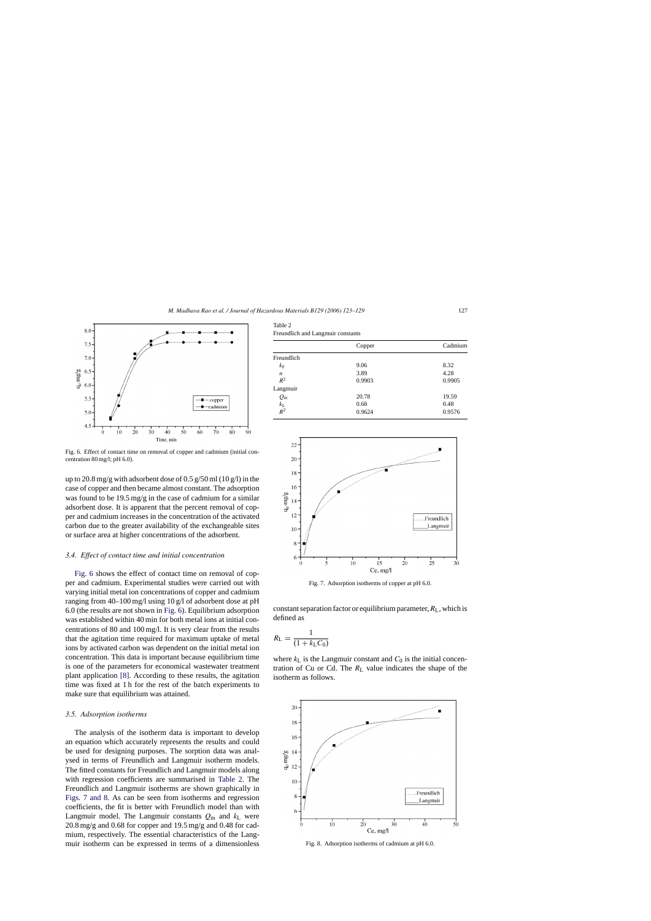

Fig. 6. Effect of contact time on removal of copper and cadmium (initial concentration 80 mg/l; pH 6.0).

up to 20.8 mg/g with adsorbent dose of 0.5 g/50 ml  $(10 \text{ g/l})$  in the case of copper and then became almost constant. The adsorption was found to be 19.5 mg/g in the case of cadmium for a similar adsorbent dose. It is apparent that the percent removal of copper and cadmium increases in the concentration of the activated carbon due to the greater availability of the exchangeable sites or surface area at higher concentrations of the adsorbent.

#### *3.4. Effect of contact time and initial concentration*

Fig. 6 shows the effect of contact time on removal of copper and cadmium. Experimental studies were carried out with varying initial metal ion concentrations of copper and cadmium ranging from 40–100 mg/l using 10 g/l of adsorbent dose at pH 6.0 (the results are not shown in Fig. 6). Equilibrium adsorption was established within 40 min for both metal ions at initial concentrations of 80 and 100 mg/l. It is very clear from the results that the agitation time required for maximum uptake of metal ions by activated carbon was dependent on the initial metal ion concentration. This data is important because equilibrium time is one of the parameters for economical wastewater treatment plant application [\[8\].](#page-6-0) According to these results, the agitation time was fixed at 1 h for the rest of the batch experiments to make sure that equilibrium was attained.

#### *3.5. Adsorption isotherms*

The analysis of the isotherm data is important to develop an equation which accurately represents the results and could be used for designing purposes. The sorption data was analysed in terms of Freundlich and Langmuir isotherm models. The fitted constants for Freundlich and Langmuir models along with regression coefficients are summarised in Table 2. The Freundlich and Langmuir isotherms are shown graphically in Figs. 7 and 8. As can be seen from isotherms and regression coefficients, the fit is better with Freundlich model than with Langmuir model. The Langmuir constants  $Q_m$  and  $k_L$  were 20.8 mg/g and 0.68 for copper and 19.5 mg/g and 0.48 for cadmium, respectively. The essential characteristics of the Langmuir isotherm can be expressed in terms of a dimensionless

| Table |  |
|-------|--|
|-------|--|

| Freundlich and Langmuir constants |
|-----------------------------------|
|                                   |

| Copper | Cadmium |  |
|--------|---------|--|
|        |         |  |
| 9.06   | 8.32    |  |
| 3.89   | 4.28    |  |
| 0.9903 | 0.9905  |  |
|        |         |  |
| 20.78  | 19.59   |  |
| 0.68   | 0.48    |  |
| 0.9624 | 0.9576  |  |
|        |         |  |



Fig. 7. Adsorption isotherms of copper at pH 6.0.

constant separation factor or equilibrium parameter,  $R_L$ , which is defined as

$$
R_{\rm L} = \frac{1}{(1 + k_{\rm L} C_0)}
$$

where  $k<sub>L</sub>$  is the Langmuir constant and  $C<sub>0</sub>$  is the initial concentration of Cu or Cd. The  $R_L$  value indicates the shape of the isotherm as follows.



Fig. 8. Adsorption isotherms of cadmium at pH 6.0.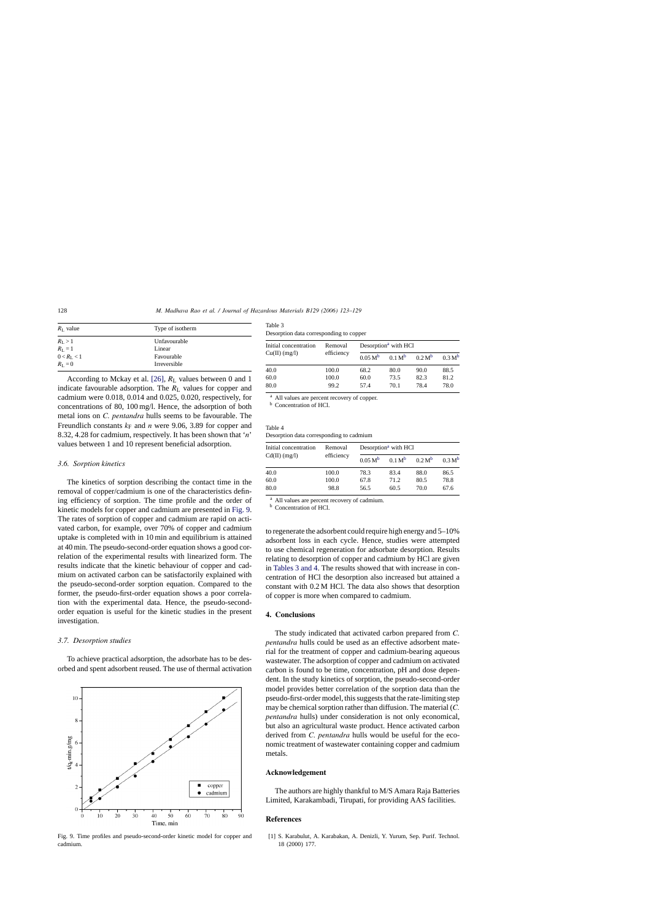<span id="page-5-0"></span>

| $R_{\rm L}$ value   | Type of isotherm |
|---------------------|------------------|
| $R_{\rm L} > 1$     | Unfavourable     |
| $R_L = 1$           | Linear           |
| $0 < R_{\rm L} < 1$ | Favourable       |
| $R_{\rm L}=0$       | Irreversible     |

According to Mckay et al. [\[26\],](#page-6-0)  $R_L$  values between 0 and 1 indicate favourable adsorption. The  $R_L$  values for copper and cadmium were 0.018, 0.014 and 0.025, 0.020, respectively, for concentrations of 80, 100 mg/l. Hence, the adsorption of both metal ions on *C. pentandra* hulls seems to be favourable. The Freundlich constants  $k_F$  and *n* were 9.06, 3.89 for copper and 8.32, 4.28 for cadmium, respectively. It has been shown that '*n*' values between 1 and 10 represent beneficial adsorption.

#### *3.6. Sorption kinetics*

The kinetics of sorption describing the contact time in the removal of copper/cadmium is one of the characteristics defining efficiency of sorption. The time profile and the order of kinetic models for copper and cadmium are presented in Fig. 9. The rates of sorption of copper and cadmium are rapid on activated carbon, for example, over 70% of copper and cadmium uptake is completed with in 10 min and equilibrium is attained at 40 min. The pseudo-second-order equation shows a good correlation of the experimental results with linearized form. The results indicate that the kinetic behaviour of copper and cadmium on activated carbon can be satisfactorily explained with the pseudo-second-order sorption equation. Compared to the former, the pseudo-first-order equation shows a poor correlation with the experimental data. Hence, the pseudo-secondorder equation is useful for the kinetic studies in the present investigation.

## *3.7. Desorption studies*

To achieve practical adsorption, the adsorbate has to be desorbed and spent adsorbent reused. The use of thermal activation



Fig. 9. Time profiles and pseudo-second-order kinetic model for copper and cadmium.

| Table 3                                 |  |
|-----------------------------------------|--|
| Desorption data corresponding to copper |  |

| Initial concentration<br>$Cu(II)$ (mg/l) | Removal<br>efficiency | Desorption <sup>a</sup> with HCl |                    |                    |                    |
|------------------------------------------|-----------------------|----------------------------------|--------------------|--------------------|--------------------|
|                                          |                       | $0.05 M^{b}$                     | 0.1 M <sup>b</sup> | 0.2 M <sup>b</sup> | 0.3 M <sup>b</sup> |
| 40.0                                     | 100.0                 | 68.2                             | 80.0               | 90.0               | 88.5               |
| 60.0                                     | 100.0                 | 60.0                             | 73.5               | 82.3               | 81.2               |
| 80.0                                     | 99.2                  | 57.4                             | 70.1               | 78.4               | 78.0               |

<sup>a</sup> All values are percent recovery of copper.

**b** Concentration of HCl.

Table 4 Desorption data corresponding to cadmium

| Initial concentration<br>$Cd(II)$ (mg/l) | Removal<br>efficiency | Desorption <sup>a</sup> with HCl |                    |                    |                    |
|------------------------------------------|-----------------------|----------------------------------|--------------------|--------------------|--------------------|
|                                          |                       | $0.05 M^{b}$                     | 0.1 M <sup>b</sup> | 0.2 M <sup>b</sup> | 0.3 M <sup>b</sup> |
| 40.0                                     | 100.0                 | 78.3                             | 83.4               | 88.0               | 86.5               |
| 60.0                                     | 100.0                 | 67.8                             | 71.2               | 80.5               | 78.8               |
| 80.0                                     | 98.8                  | 56.5                             | 60.5               | 70.0               | 67.6               |

<sup>a</sup> All values are percent recovery of cadmium.

**b** Concentration of HCl.

to regenerate the adsorbent could require high energy and 5–10% adsorbent loss in each cycle. Hence, studies were attempted to use chemical regeneration for adsorbate desorption. Results relating to desorption of copper and cadmium by HCl are given in Tables 3 and 4. The results showed that with increase in concentration of HCl the desorption also increased but attained a constant with 0.2 M HCl. The data also shows that desorption of copper is more when compared to cadmium.

## **4. Conclusions**

The study indicated that activated carbon prepared from *C. pentandra* hulls could be used as an effective adsorbent material for the treatment of copper and cadmium-bearing aqueous wastewater. The adsorption of copper and cadmium on activated carbon is found to be time, concentration, pH and dose dependent. In the study kinetics of sorption, the pseudo-second-order model provides better correlation of the sorption data than the pseudo-first-order model, this suggests that the rate-limiting step may be chemical sorption rather than diffusion. The material (*C. pentandra* hulls) under consideration is not only economical, but also an agricultural waste product. Hence activated carbon derived from *C. pentandra* hulls would be useful for the economic treatment of wastewater containing copper and cadmium metals.

## **Acknowledgement**

The authors are highly thankful to M/S Amara Raja Batteries Limited, Karakambadi, Tirupati, for providing AAS facilities.

## **References**

[1] S. Karabulut, A. Karabakan, A. Denizli, Y. Yurum, Sep. Purif. Technol. 18 (2000) 177.